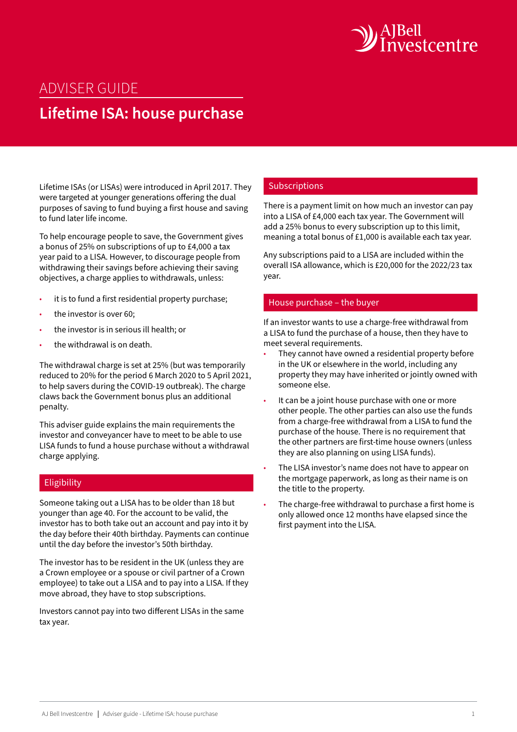

## ADVISER GUIDE

# **Lifetime ISA: house purchase**

Lifetime ISAs (or LISAs) were introduced in April 2017. They were targeted at younger generations offering the dual purposes of saving to fund buying a first house and saving to fund later life income.

To help encourage people to save, the Government gives a bonus of 25% on subscriptions of up to £4,000 a tax year paid to a LISA. However, to discourage people from withdrawing their savings before achieving their saving objectives, a charge applies to withdrawals, unless:

- it is to fund a first residential property purchase;
- the investor is over 60;
- the investor is in serious ill health; or
- the withdrawal is on death.

The withdrawal charge is set at 25% (but was temporarily reduced to 20% for the period 6 March 2020 to 5 April 2021, to help savers during the COVID-19 outbreak). The charge claws back the Government bonus plus an additional penalty.

This adviser guide explains the main requirements the investor and conveyancer have to meet to be able to use LISA funds to fund a house purchase without a withdrawal charge applying.

#### Eligibility

Someone taking out a LISA has to be older than 18 but younger than age 40. For the account to be valid, the investor has to both take out an account and pay into it by the day before their 40th birthday. Payments can continue until the day before the investor's 50th birthday.

The investor has to be resident in the UK (unless they are a Crown employee or a spouse or civil partner of a Crown employee) to take out a LISA and to pay into a LISA. If they move abroad, they have to stop subscriptions.

Investors cannot pay into two different LISAs in the same tax year.

## **Subscriptions**

There is a payment limit on how much an investor can pay into a LISA of £4,000 each tax year. The Government will add a 25% bonus to every subscription up to this limit, meaning a total bonus of £1,000 is available each tax year.

Any subscriptions paid to a LISA are included within the overall ISA allowance, which is £20,000 for the 2022/23 tax year.

#### House purchase – the buyer

If an investor wants to use a charge-free withdrawal from a LISA to fund the purchase of a house, then they have to meet several requirements.

- They cannot have owned a residential property before in the UK or elsewhere in the world, including any property they may have inherited or jointly owned with someone else.
- It can be a joint house purchase with one or more other people. The other parties can also use the funds from a charge-free withdrawal from a LISA to fund the purchase of the house. There is no requirement that the other partners are first-time house owners (unless they are also planning on using LISA funds).
- The LISA investor's name does not have to appear on the mortgage paperwork, as long as their name is on the title to the property.
- The charge-free withdrawal to purchase a first home is only allowed once 12 months have elapsed since the first payment into the LISA.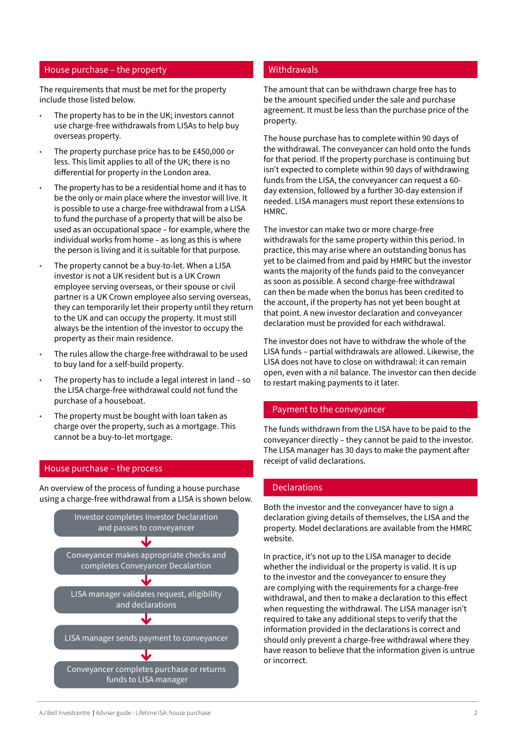#### House purchase – the property

The requirements that must be met for the property include those listed below.

- The property has to be in the UK; investors cannot use charge-free withdrawals from LISAs to help buy overseas property.
- The property purchase price has to be £450,000 or less. This limit applies to all of the UK; there is no differential for property in the London area.
- The property has to be a residential home and it has to be the only or main place where the investor will live. It is possible to use a charge-free withdrawal from a LISA to fund the purchase of a property that will be also be used as an occupational space – for example, where the individual works from home – as long as this is where the person is living and it is suitable for that purpose.
- The property cannot be a buy-to-let. When a LISA investor is not a UK resident but is a UK Crown employee serving overseas, or their spouse or civil partner is a UK Crown employee also serving overseas, they can temporarily let their property until they return to the UK and can occupy the property. It must still always be the intention of the investor to occupy the property as their main residence.
- The rules allow the charge-free withdrawal to be used to buy land for a self-build property.
- The property has to include a legal interest in land so the LISA charge-free withdrawal could not fund the purchase of a houseboat.
- The property must be bought with loan taken as charge over the property, such as a mortgage. This cannot be a buy-to-let mortgage.

#### House purchase – the process

An overview of the process of funding a house purchase using a charge-free withdrawal from a LISA is shown below.



#### Withdrawals

The amount that can be withdrawn charge free has to be the amount specified under the sale and purchase agreement. It must be less than the purchase price of the property.

The house purchase has to complete within 90 days of the withdrawal. The conveyancer can hold onto the funds for that period. If the property purchase is continuing but isn't expected to complete within 90 days of withdrawing funds from the LISA, the conveyancer can request a 60 day extension, followed by a further 30-day extension if needed. LISA managers must report these extensions to HMRC.

The investor can make two or more charge-free withdrawals for the same property within this period. In practice, this may arise where an outstanding bonus has yet to be claimed from and paid by HMRC but the investor wants the majority of the funds paid to the conveyancer as soon as possible. A second charge-free withdrawal can then be made when the bonus has been credited to the account, if the property has not yet been bought at that point. A new investor declaration and conveyancer declaration must be provided for each withdrawal.

The investor does not have to withdraw the whole of the LISA funds – partial withdrawals are allowed. Likewise, the LISA does not have to close on withdrawal: it can remain open, even with a nil balance. The investor can then decide to restart making payments to it later.

#### Payment to the conveyancer

The funds withdrawn from the LISA have to be paid to the conveyancer directly – they cannot be paid to the investor. The LISA manager has 30 days to make the payment after receipt of valid declarations.

#### **Declarations**

Both the investor and the conveyancer have to sign a declaration giving details of themselves, the LISA and the property. Model declarations are available from the HMRC website.

In practice, it's not up to the LISA manager to decide whether the individual or the property is valid. It is up to the investor and the conveyancer to ensure they are complying with the requirements for a charge-free withdrawal, and then to make a declaration to this effect when requesting the withdrawal. The LISA manager isn't required to take any additional steps to verify that the information provided in the declarations is correct and should only prevent a charge-free withdrawal where they have reason to believe that the information given is untrue or incorrect.